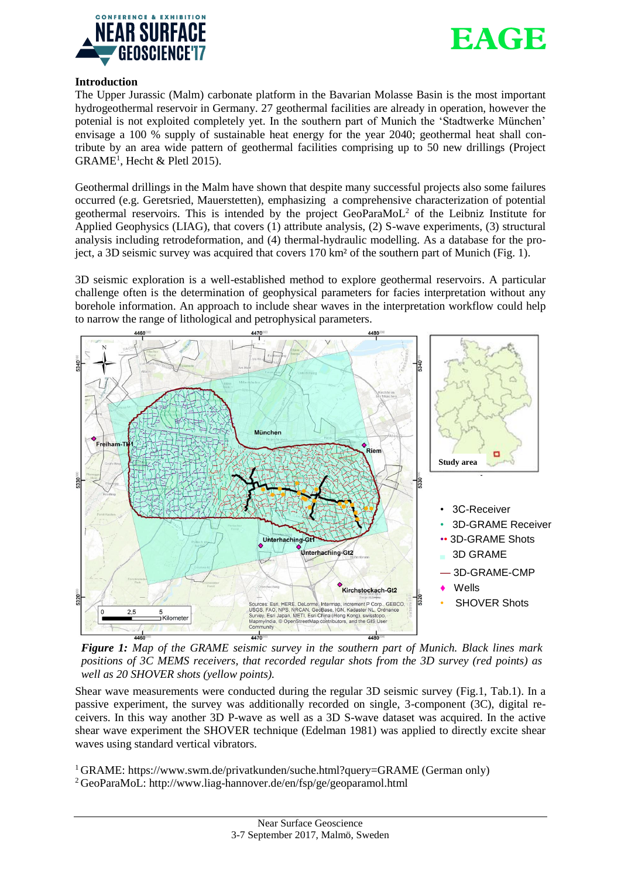



# **Introduction**

The Upper Jurassic (Malm) carbonate platform in the Bavarian Molasse Basin is the most important hydrogeothermal reservoir in Germany. 27 geothermal facilities are already in operation, however the potenial is not exploited completely yet. In the southern part of Munich the 'Stadtwerke München' envisage a 100 % supply of sustainable heat energy for the year 2040; geothermal heat shall contribute by an area wide pattern of geothermal facilities comprising up to 50 new drillings (Project  $GRAME<sup>1</sup>$ , Hecht & Pletl 2015).

Geothermal drillings in the Malm have shown that despite many successful projects also some failures occurred (e.g. Geretsried, Mauerstetten), emphasizing a comprehensive characterization of potential geothermal reservoirs. This is intended by the project GeoParaMoL<sup>2</sup> of the Leibniz Institute for Applied Geophysics (LIAG), that covers (1) attribute analysis, (2) S-wave experiments, (3) structural analysis including retrodeformation, and (4) thermal-hydraulic modelling. As a database for the project, a 3D seismic survey was acquired that covers 170 km² of the southern part of Munich (Fig. 1).

3D seismic exploration is a well-established method to explore geothermal reservoirs. A particular challenge often is the determination of geophysical parameters for facies interpretation without any borehole information. An approach to include shear waves in the interpretation workflow could help to narrow the range of lithological and petrophysical parameters.



*Figure 1: Map of the GRAME seismic survey in the southern part of Munich. Black lines mark positions of 3C MEMS receivers, that recorded regular shots from the 3D survey (red points) as well as 20 SHOVER shots (yellow points).*

Shear wave measurements were conducted during the regular 3D seismic survey (Fig.1, Tab.1). In a passive experiment, the survey was additionally recorded on single, 3-component (3C), digital receivers. In this way another 3D P-wave as well as a 3D S-wave dataset was acquired. In the active shear wave experiment the SHOVER technique (Edelman 1981) was applied to directly excite shear waves using standard vertical vibrators.

<sup>1</sup> GRAME:<https://www.swm.de/privatkunden/suche.html?query=GRAME> (German only) <sup>2</sup> GeoParaMoL: http://www.liag-hannover.de/en/fsp/ge/geoparamol.html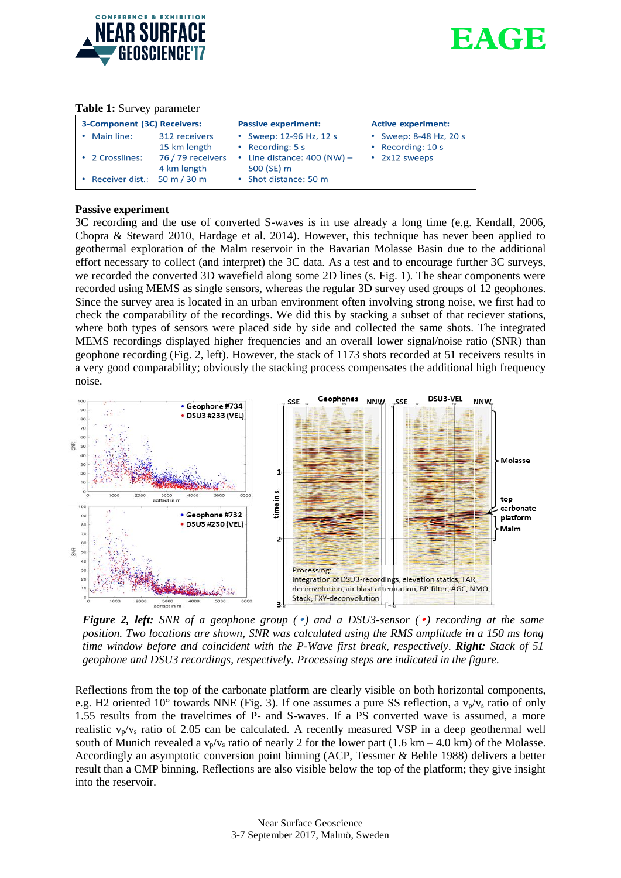



### **Table 1:** Survey parameter

| 3-Component (3C) Receivers: |                                  | <b>Passive experiment:</b>                  | <b>Active experiment:</b>                   |
|-----------------------------|----------------------------------|---------------------------------------------|---------------------------------------------|
| Main line:                  | 312 receivers<br>15 km length    | • Sweep: 12-96 Hz, 12 s<br>• Recording: 5 s | • Sweep: 8-48 Hz, 20 s<br>• Recording: 10 s |
| 2 Crosslines:               | 76 / 79 receivers<br>4 km length | • Line distance: $400$ (NW) –<br>500 (SE) m | • 2x12 sweeps                               |
| Receiver dist.: 50 m / 30 m |                                  | • Shot distance: 50 m                       |                                             |

# **Passive experiment**

3C recording and the use of converted S-waves is in use already a long time (e.g. Kendall, 2006, Chopra & Steward 2010, Hardage et al. 2014). However, this technique has never been applied to geothermal exploration of the Malm reservoir in the Bavarian Molasse Basin due to the additional effort necessary to collect (and interpret) the 3C data. As a test and to encourage further 3C surveys, we recorded the converted 3D wavefield along some 2D lines (s. Fig. 1). The shear components were recorded using MEMS as single sensors, whereas the regular 3D survey used groups of 12 geophones. Since the survey area is located in an urban environment often involving strong noise, we first had to check the comparability of the recordings. We did this by stacking a subset of that reciever stations, where both types of sensors were placed side by side and collected the same shots. The integrated MEMS recordings displayed higher frequencies and an overall lower signal/noise ratio (SNR) than geophone recording (Fig. 2, left). However, the stack of 1173 shots recorded at 51 receivers results in a very good comparability; obviously the stacking process compensates the additional high frequency noise.



*Figure 2, left: SNR of a geophone group (*•*) and a DSU3-sensor (*•*) recording at the same position. Two locations are shown, SNR was calculated using the RMS amplitude in a 150 ms long time window before and coincident with the P-Wave first break, respectively. Right: Stack of 51 geophone and DSU3 recordings, respectively. Processing steps are indicated in the figure.*

Reflections from the top of the carbonate platform are clearly visible on both horizontal components, e.g. H2 oriented 10° towards NNE (Fig. 3). If one assumes a pure SS reflection, a  $v_p/v_s$  ratio of only 1.55 results from the traveltimes of P- and S-waves. If a PS converted wave is assumed, a more realistic  $v_p/v_s$  ratio of 2.05 can be calculated. A recently measured VSP in a deep geothermal well south of Munich revealed a  $v_p/v_s$  ratio of nearly 2 for the lower part (1.6 km – 4.0 km) of the Molasse. Accordingly an asymptotic conversion point binning (ACP, Tessmer & Behle 1988) delivers a better result than a CMP binning. Reflections are also visible below the top of the platform; they give insight into the reservoir.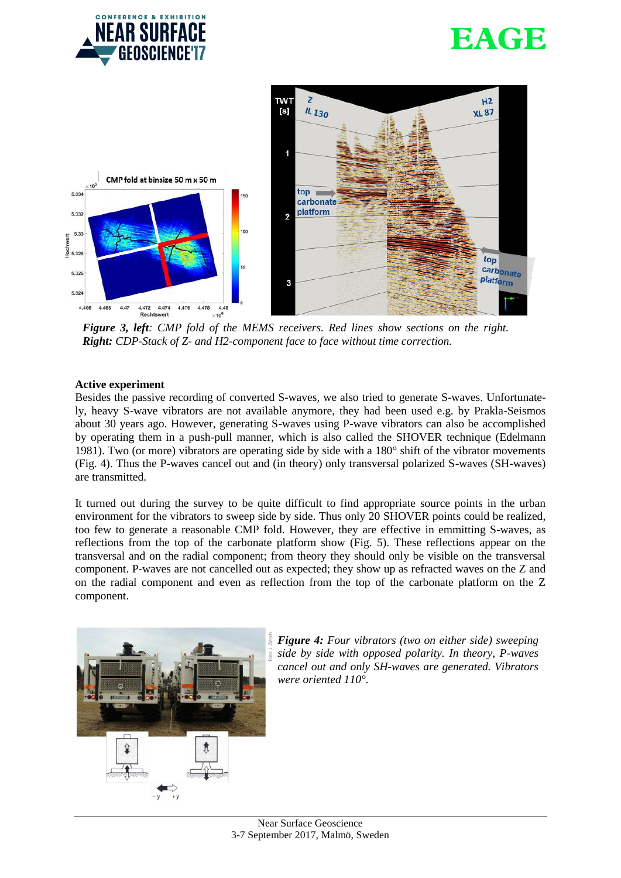





*Figure 3, left: CMP fold of the MEMS receivers. Red lines show sections on the right. Right: CDP-Stack of Z- and H2-component face to face without time correction.*

## **Active experiment**

Besides the passive recording of converted S-waves, we also tried to generate S-waves. Unfortunately, heavy S-wave vibrators are not available anymore, they had been used e.g. by Prakla-Seismos about 30 years ago. However, generating S-waves using P-wave vibrators can also be accomplished by operating them in a push-pull manner, which is also called the SHOVER technique (Edelmann 1981). Two (or more) vibrators are operating side by side with a 180° shift of the vibrator movements (Fig. 4). Thus the P-waves cancel out and (in theory) only transversal polarized S-waves (SH-waves) are transmitted.

It turned out during the survey to be quite difficult to find appropriate source points in the urban environment for the vibrators to sweep side by side. Thus only 20 SHOVER points could be realized, too few to generate a reasonable CMP fold. However, they are effective in emmitting S-waves, as reflections from the top of the carbonate platform show (Fig. 5). These reflections appear on the transversal and on the radial component; from theory they should only be visible on the transversal component. P-waves are not cancelled out as expected; they show up as refracted waves on the Z and on the radial component and even as reflection from the top of the carbonate platform on the Z component.



*Figure 4: Four vibrators (two on either side) sweeping side by side with opposed polarity. In theory, P-waves cancel out and only SH-waves are generated. Vibrators were oriented 110°.*